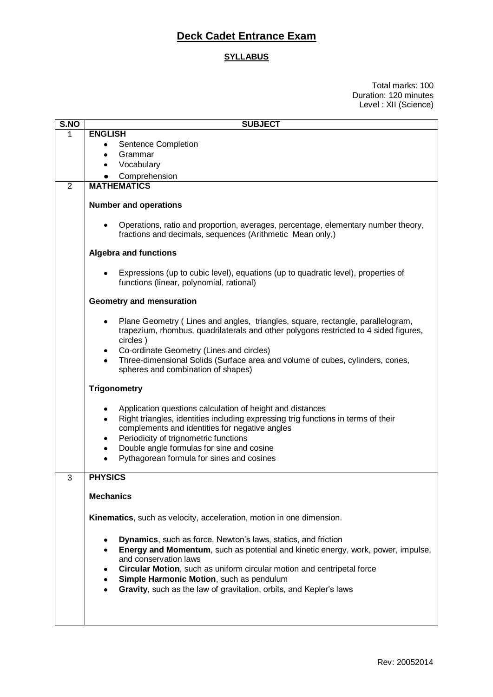## **Deck Cadet Entrance Exam**

## **SYLLABUS**

Total marks: 100 Duration: 120 minutes Level : XII (Science)

| S.NO        | <b>SUBJECT</b>                                                                                                                                                                                                                                                                                                                                                             |
|-------------|----------------------------------------------------------------------------------------------------------------------------------------------------------------------------------------------------------------------------------------------------------------------------------------------------------------------------------------------------------------------------|
| $\mathbf 1$ | <b>ENGLISH</b>                                                                                                                                                                                                                                                                                                                                                             |
|             | Sentence Completion                                                                                                                                                                                                                                                                                                                                                        |
|             | Grammar<br>٠                                                                                                                                                                                                                                                                                                                                                               |
|             | Vocabulary                                                                                                                                                                                                                                                                                                                                                                 |
|             | Comprehension                                                                                                                                                                                                                                                                                                                                                              |
| 2           | <b>MATHEMATICS</b>                                                                                                                                                                                                                                                                                                                                                         |
|             |                                                                                                                                                                                                                                                                                                                                                                            |
|             | <b>Number and operations</b>                                                                                                                                                                                                                                                                                                                                               |
|             | Operations, ratio and proportion, averages, percentage, elementary number theory,<br>fractions and decimals, sequences (Arithmetic Mean only,)                                                                                                                                                                                                                             |
|             | <b>Algebra and functions</b>                                                                                                                                                                                                                                                                                                                                               |
|             | Expressions (up to cubic level), equations (up to quadratic level), properties of<br>functions (linear, polynomial, rational)                                                                                                                                                                                                                                              |
|             | Geometry and mensuration                                                                                                                                                                                                                                                                                                                                                   |
|             | Plane Geometry (Lines and angles, triangles, square, rectangle, parallelogram,<br>trapezium, rhombus, quadrilaterals and other polygons restricted to 4 sided figures,<br>circles)<br>Co-ordinate Geometry (Lines and circles)                                                                                                                                             |
|             | Three-dimensional Solids (Surface area and volume of cubes, cylinders, cones,<br>$\bullet$<br>spheres and combination of shapes)                                                                                                                                                                                                                                           |
|             | <b>Trigonometry</b>                                                                                                                                                                                                                                                                                                                                                        |
|             | Application questions calculation of height and distances<br>Right triangles, identities including expressing trig functions in terms of their<br>$\bullet$<br>complements and identities for negative angles<br>Periodicity of trignometric functions<br>Double angle formulas for sine and cosine<br>$\bullet$<br>Pythagorean formula for sines and cosines<br>$\bullet$ |
|             |                                                                                                                                                                                                                                                                                                                                                                            |
| 3           | <b>PHYSICS</b>                                                                                                                                                                                                                                                                                                                                                             |
|             | <b>Mechanics</b>                                                                                                                                                                                                                                                                                                                                                           |
|             | Kinematics, such as velocity, acceleration, motion in one dimension.                                                                                                                                                                                                                                                                                                       |
|             |                                                                                                                                                                                                                                                                                                                                                                            |
|             | <b>Dynamics</b> , such as force, Newton's laws, statics, and friction                                                                                                                                                                                                                                                                                                      |
|             | Energy and Momentum, such as potential and kinetic energy, work, power, impulse,<br>and conservation laws                                                                                                                                                                                                                                                                  |
|             | Circular Motion, such as uniform circular motion and centripetal force                                                                                                                                                                                                                                                                                                     |
|             |                                                                                                                                                                                                                                                                                                                                                                            |
|             | Simple Harmonic Motion, such as pendulum<br>Gravity, such as the law of gravitation, orbits, and Kepler's laws                                                                                                                                                                                                                                                             |
|             |                                                                                                                                                                                                                                                                                                                                                                            |
|             |                                                                                                                                                                                                                                                                                                                                                                            |
|             |                                                                                                                                                                                                                                                                                                                                                                            |